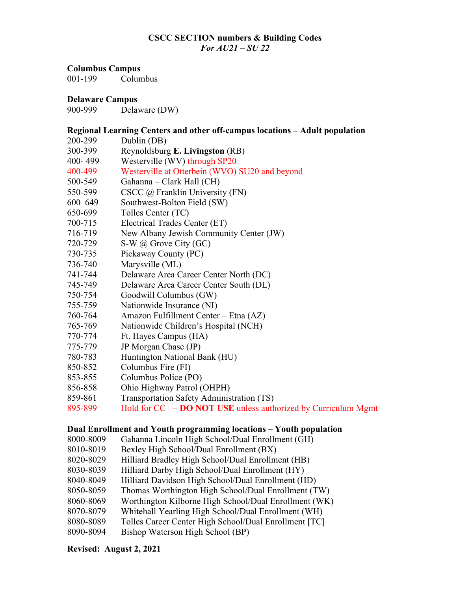# **CSCC SECTION numbers & Building Codes** *For AU21 – SU 22*

#### **Columbus Campus**

001-199 Columbus

#### **Delaware Campus**

900-999 Delaware (DW)

#### **Regional Learning Centers and other off-campus locations – Adult population**

- 200-299 Dublin (DB)
- 300-399 Reynoldsburg **E. Livingston** (RB)
- 400- 499 Westerville (WV) through SP20
- 400-499 Westerville at Otterbein (WVO) SU20 and beyond
- 500-549 Gahanna Clark Hall (CH)
- 550-599 CSCC @ Franklin University (FN)
- 600–649 Southwest-Bolton Field (SW)
- 650-699 Tolles Center (TC)
- 700-715 Electrical Trades Center (ET)
- 716-719 New Albany Jewish Community Center (JW)
- 720-729 S-W @ Grove City (GC)
- 730-735 Pickaway County (PC)
- 736-740 Marysville (ML)
- 741-744 Delaware Area Career Center North (DC)
- 745-749 Delaware Area Career Center South (DL)
- 750-754 Goodwill Columbus (GW)
- 755-759 Nationwide Insurance (NI)
- 760-764 Amazon Fulfillment Center Etna (AZ)
- 765-769 Nationwide Children's Hospital (NCH)
- 770-774 Ft. Hayes Campus (HA)
- 775-779 JP Morgan Chase (JP)
- 780-783 Huntington National Bank (HU)
- 850-852 Columbus Fire (FI)
- 853-855 Columbus Police (PO)
- 856-858 Ohio Highway Patrol (OHPH)
- 859-861 Transportation Safety Administration (TS)
- 895-899 Hold for CC+ **DO NOT USE** unless authorized by Curriculum Mgmt

## **Dual Enrollment and Youth programming locations – Youth population**

- 8000-8009 Gahanna Lincoln High School/Dual Enrollment (GH)
- 8010-8019 Bexley High School/Dual Enrollment (BX)
- 8020-8029 Hilliard Bradley High School/Dual Enrollment (HB)
- 8030-8039 Hilliard Darby High School/Dual Enrollment (HY)
- 8040-8049 Hilliard Davidson High School/Dual Enrollment (HD)
- 8050-8059 Thomas Worthington High School/Dual Enrollment (TW)
- 8060-8069 Worthington Kilborne High School/Dual Enrollment (WK)
- 8070-8079 Whitehall Yearling High School/Dual Enrollment (WH)
- 8080-8089 Tolles Career Center High School/Dual Enrollment [TC]
- 8090-8094 Bishop Waterson High School (BP)

## **Revised: August 2, 2021**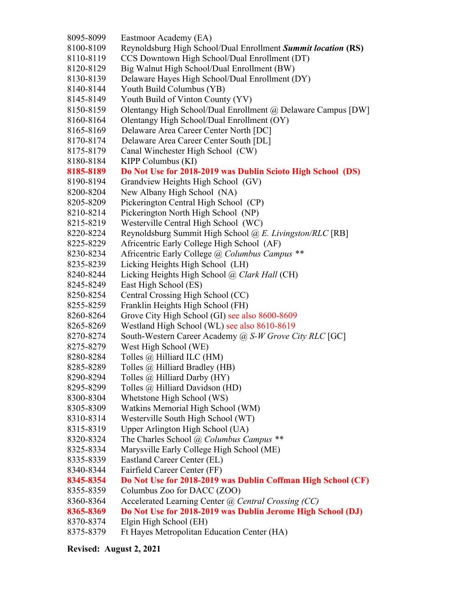8095-8099 Eastmoor Academy (EA) 8100-8109 Reynoldsburg High School/Dual Enrollment *Summit location* **(RS)** 8110-8119 CCS Downtown High School/Dual Enrollment (DT) 8120-8129 Big Walnut High School/Dual Enrollment (BW) 8130-8139 Delaware Hayes High School/Dual Enrollment (DY) 8140-8144 Youth Build Columbus (YB) 8145-8149 Youth Build of Vinton County (YV) 8150-8159 Olentangy High School/Dual Enrollment @ Delaware Campus [DW] 8160-8164 Olentangy High School/Dual Enrollment (OY) 8165-8169 Delaware Area Career Center North [DC] 8170-8174 Delaware Area Career Center South [DL] 8175-8179 Canal Winchester High School (CW) 8180-8184 KIPP Columbus (KI) **8185-8189 Do Not Use for 2018-2019 was Dublin Scioto High School (DS)** 8190-8194 Grandview Heights High School (GV) 8200-8204 New Albany High School (NA) 8205-8209 Pickerington Central High School (CP) 8210-8214 Pickerington North High School (NP) 8215-8219 Westerville Central High School (WC) 8220-8224 Reynoldsburg Summit High School *@ E. Livingston/RLC* [RB] 8225-8229 Africentric Early College High School (AF) 8230-8234 Africentric Early College *@ Columbus Campus \*\** 8235-8239 Licking Heights High School (LH) 8240-8244 Licking Heights High School *@ Clark Hall* (CH) 8245-8249 East High School (ES) 8250-8254 Central Crossing High School (CC) 8255-8259 Franklin Heights High School (FH) 8260-8264 Grove City High School (GI) see also 8600-8609 8265-8269 Westland High School (WL) see also 8610-8619 8270-8274 South-Western Career Academy *@ S-W Grove City RLC* [GC] 8275-8279 West High School (WE) 8280-8284 Tolles @ Hilliard ILC (HM) 8285-8289 Tolles @ Hilliard Bradley (HB) 8290-8294 Tolles @ Hilliard Darby (HY) 8295-8299 Tolles @ Hilliard Davidson (HD) 8300-8304 Whetstone High School (WS) 8305-8309 Watkins Memorial High School (WM) 8310-8314 Westerville South High School (WT) 8315-8319 Upper Arlington High School (UA) 8320-8324 The Charles School @ *Columbus Campus \*\** 8325-8334 Marysville Early College High School (ME) 8335-8339 Eastland Career Center (EL) 8340-8344 Fairfield Career Center (FF) **8345-8354 Do Not Use for 2018-2019 was Dublin Coffman High School (CF)** 8355-8359 Columbus Zoo for DACC (ZOO) 8360-8364 Accelerated Learning Center *@ Central Crossing (CC)* **8365-8369 Do Not Use for 2018-2019 was Dublin Jerome High School (DJ)** 8370-8374 Elgin High School (EH) 8375-8379 Ft Hayes Metropolitan Education Center (HA)

## **Revised: August 2, 2021**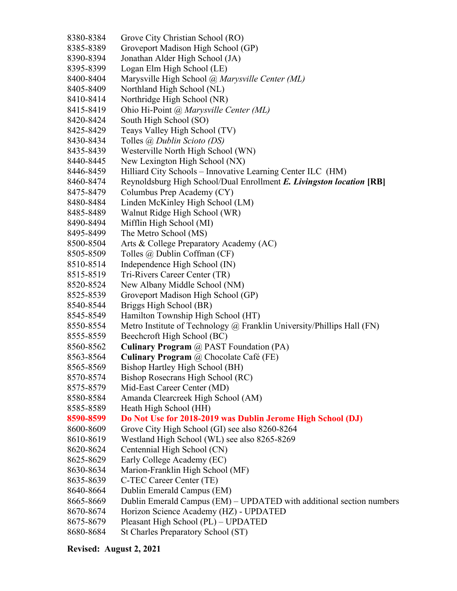- 8380-8384 Grove City Christian School (RO)
- 8385-8389 Groveport Madison High School (GP)
- 8390-8394 Jonathan Alder High School (JA)
- 8395-8399 Logan Elm High School (LE)
- 8400-8404 Marysville High School *@ Marysville Center (ML)*
- 8405-8409 Northland High School (NL)
- 8410-8414 Northridge High School (NR)
- 8415-8419 Ohio Hi-Point *@ Marysville Center (ML)*
- 8420-8424 South High School (SO)
- 8425-8429 Teays Valley High School (TV)
- 8430-8434 Tolles *@ Dublin Scioto (DS)*
- 8435-8439 Westerville North High School (WN)
- 8440-8445 New Lexington High School (NX)
- 8446-8459 Hilliard City Schools Innovative Learning Center ILC (HM)
- 8460-8474 Reynoldsburg High School/Dual Enrollment *E. Livingston location* **[RB]**
- 8475-8479 Columbus Prep Academy (CY)
- 8480-8484 Linden McKinley High School (LM)
- 8485-8489 Walnut Ridge High School (WR)
- 8490-8494 Mifflin High School (MI)
- 8495-8499 The Metro School (MS)
- 8500-8504 Arts & College Preparatory Academy (AC)
- 8505-8509 Tolles @ Dublin Coffman (CF)
- 8510-8514 Independence High School (IN)
- 8515-8519 Tri-Rivers Career Center (TR)
- 8520-8524 New Albany Middle School (NM)
- 8525-8539 Groveport Madison High School (GP)
- 8540-8544 Briggs High School (BR)
- 8545-8549 Hamilton Township High School (HT)
- 8550-8554 Metro Institute of Technology @ Franklin University/Phillips Hall (FN)
- 8555-8559 Beechcroft High School (BC)
- 8560-8562 **Culinary Program** @ PAST Foundation (PA)
- 8563-8564 **Culinary Program** @ Chocolate Café (FE)
- 8565-8569 Bishop Hartley High School (BH)
- 8570-8574 Bishop Rosecrans High School (RC)
- 8575-8579 Mid-East Career Center (MD)
- 8580-8584 Amanda Clearcreek High School (AM)
- 8585-8589 Heath High School (HH)
- **8590-8599 Do Not Use for 2018-2019 was Dublin Jerome High School (DJ)**
- 8600-8609 Grove City High School (GI) see also 8260-8264
- 8610-8619 Westland High School (WL) see also 8265-8269
- 8620-8624 Centennial High School (CN)
- 8625-8629 Early College Academy (EC)
- 8630-8634 Marion-Franklin High School (MF)
- 8635-8639 C-TEC Career Center (TE)
- 8640-8664 Dublin Emerald Campus (EM)
- 8665-8669 Dublin Emerald Campus (EM) UPDATED with additional section numbers
- 8670-8674 Horizon Science Academy (HZ) UPDATED
- 8675-8679 Pleasant High School (PL) UPDATED
- 8680-8684 St Charles Preparatory School (ST)

# **Revised: August 2, 2021**